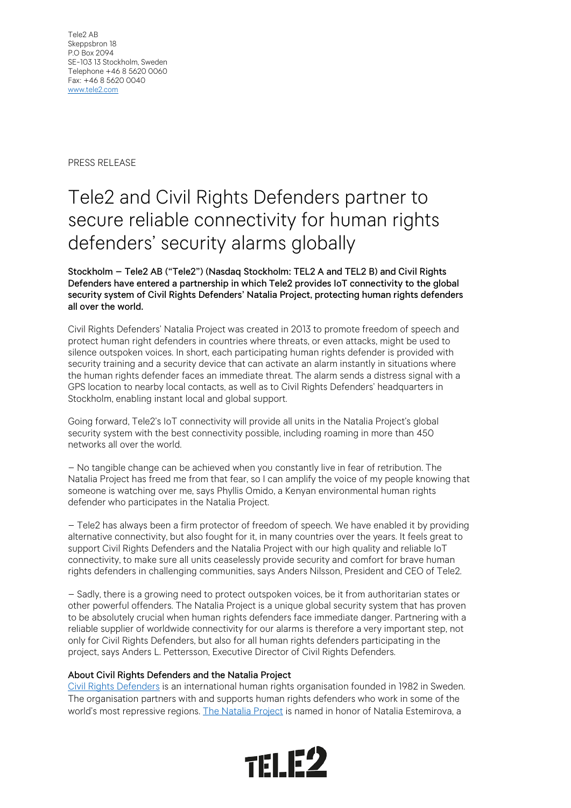PRESS RELEASE

## Tele2 and Civil Rights Defenders partner to secure reliable connectivity for human rights defenders' security alarms globally

## Stockholm – Tele2 AB ("Tele2") (Nasdaq Stockholm: TEL2 A and TEL2 B) and Civil Rights Defenders have entered a partnership in which Tele2 provides IoT connectivity to the global security system of Civil Rights Defenders' Natalia Project, protecting human rights defenders all over the world.

Civil Rights Defenders' Natalia Project was created in 2013 to promote freedom of speech and protect human right defenders in countries where threats, or even attacks, might be used to silence outspoken voices. In short, each participating human rights defender is provided with security training and a security device that can activate an alarm instantly in situations where the human rights defender faces an immediate threat. The alarm sends a distress signal with a GPS location to nearby local contacts, as well as to Civil Rights Defenders' headquarters in Stockholm, enabling instant local and global support.

Going forward, Tele2's IoT connectivity will provide all units in the Natalia Project's global security system with the best connectivity possible, including roaming in more than 450 networks all over the world.

– No tangible change can be achieved when you constantly live in fear of retribution. The Natalia Project has freed me from that fear, so I can amplify the voice of my people knowing that someone is watching over me, says Phyllis Omido, a Kenyan environmental human rights defender who participates in the Natalia Project.

– Tele2 has always been a firm protector of freedom of speech. We have enabled it by providing alternative connectivity, but also fought for it, in many countries over the years. It feels great to support Civil Rights Defenders and the Natalia Project with our high quality and reliable IoT connectivity, to make sure all units ceaselessly provide security and comfort for brave human rights defenders in challenging communities, says Anders Nilsson, President and CEO of Tele2.

– Sadly, there is a growing need to protect outspoken voices, be it from authoritarian states or other powerful offenders. The Natalia Project is a unique global security system that has proven to be absolutely crucial when human rights defenders face immediate danger. Partnering with a reliable supplier of worldwide connectivity for our alarms is therefore a very important step, not only for Civil Rights Defenders, but also for all human rights defenders participating in the project, says Anders L. Pettersson, Executive Director of Civil Rights Defenders.

## About Civil Rights Defenders and the Natalia Project

[Civil Rights Defenders](https://crd.org/) is an international human rights organisation founded in 1982 in Sweden. The organisation partners with and supports human rights defenders who work in some of the world's most repressive regions[. The Natalia Project](https://crd.org/nataliaproject/) is named in honor of Natalia Estemirova, a